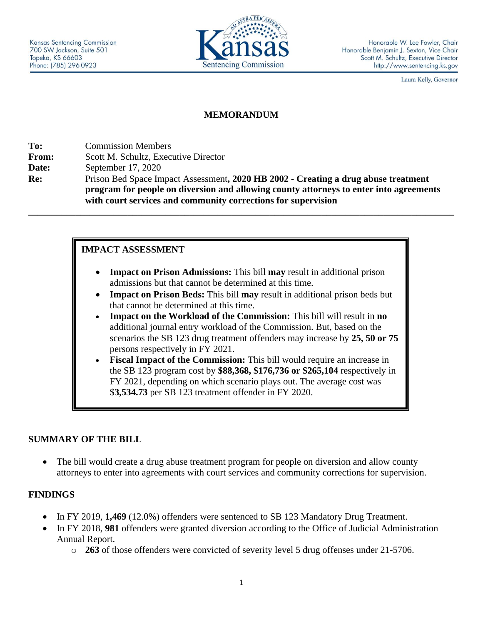

Laura Kelly, Governor

# **MEMORANDUM**

**To:** Commission Members **From:** Scott M. Schultz, Executive Director **Date:** September 17, 2020 **Re:** Prison Bed Space Impact Assessment**, 2020 HB 2002 - Creating a drug abuse treatment program for people on diversion and allowing county attorneys to enter into agreements with court services and community corrections for supervision \_\_\_\_\_\_\_\_\_\_\_\_\_\_\_\_\_\_\_\_\_\_\_\_\_\_\_\_\_\_\_\_\_\_\_\_\_\_\_\_\_\_\_\_\_\_\_\_\_\_\_\_\_\_\_\_\_\_\_\_\_\_\_\_\_\_\_\_\_\_\_\_\_\_\_\_\_\_\_\_\_\_\_\_\_\_\_\_\_\_**

# **IMPACT ASSESSMENT**

- **Impact on Prison Admissions:** This bill **may** result in additional prison admissions but that cannot be determined at this time.
- **Impact on Prison Beds:** This bill **may** result in additional prison beds but that cannot be determined at this time.
- **Impact on the Workload of the Commission:** This bill will result in **no** additional journal entry workload of the Commission. But, based on the scenarios the SB 123 drug treatment offenders may increase by **25, 50 or 75** persons respectively in FY 2021.
- **Fiscal Impact of the Commission:** This bill would require an increase in the SB 123 program cost by **\$88,368, \$176,736 or \$265,104** respectively in FY 2021, depending on which scenario plays out. The average cost was \$**3,534.73** per SB 123 treatment offender in FY 2020.

### **SUMMARY OF THE BILL**

• The bill would create a drug abuse treatment program for people on diversion and allow county attorneys to enter into agreements with court services and community corrections for supervision.

### **FINDINGS**

- In FY 2019, **1,469** (12.0%) offenders were sentenced to SB 123 Mandatory Drug Treatment.
- In FY 2018, **981** offenders were granted diversion according to the Office of Judicial Administration Annual Report.
	- o **263** of those offenders were convicted of severity level 5 drug offenses under 21-5706.